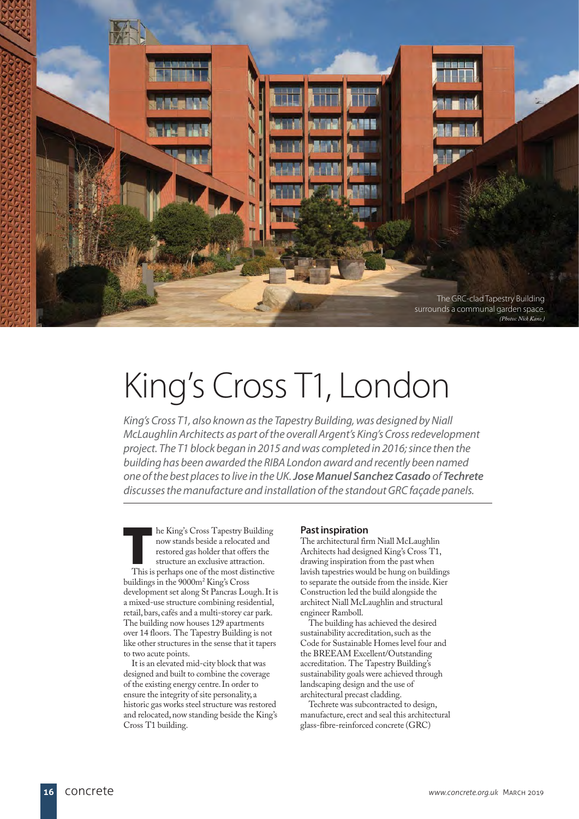

# King's Cross T1, London

King's Cross T1, also known as the Tapestry Building, was designed by Niall McLaughlin Architects as part of the overall Argent's King's Cross redevelopment project. The T1 block began in 2015 and was completed in 2016; since then the building has been awarded the RIBA London award and recently been named one of the best places to live in the UK. *Jose Manuel Sanchez Casado* of *Techrete* discusses the manufacture and installation of the standout GRC façade panels.

**T**he King's Cross Tapestry Building now stands beside a relocated and restored gas holder that offers the structure an exclusive attraction. This is perhaps one of the most distinctive buildings in the 9000m2 King's Cross development set along St Pancras Lough. It is a mixed-use structure combining residential, retail, bars, cafés and a multi-storey car park. The building now houses 129 apartments over 14 floors. The Tapestry Building is not like other structures in the sense that it tapers to two acute points.

It is an elevated mid-city block that was designed and built to combine the coverage of the existing energy centre. In order to ensure the integrity of site personality, a historic gas works steel structure was restored and relocated, now standing beside the King's Cross T1 building.

# **Past inspiration**

The architectural firm Niall McLaughlin Architects had designed King's Cross T1, drawing inspiration from the past when lavish tapestries would be hung on buildings to separate the outside from the inside. Kier Construction led the build alongside the architect Niall McLaughlin and structural engineer Ramboll.

The building has achieved the desired sustainability accreditation, such as the Code for Sustainable Homes level four and the BREEAM Excellent/Outstanding accreditation. The Tapestry Building's sustainability goals were achieved through landscaping design and the use of architectural precast cladding.

Techrete was subcontracted to design, manufacture, erect and seal this architectural glass-fibre-reinforced concrete (GRC)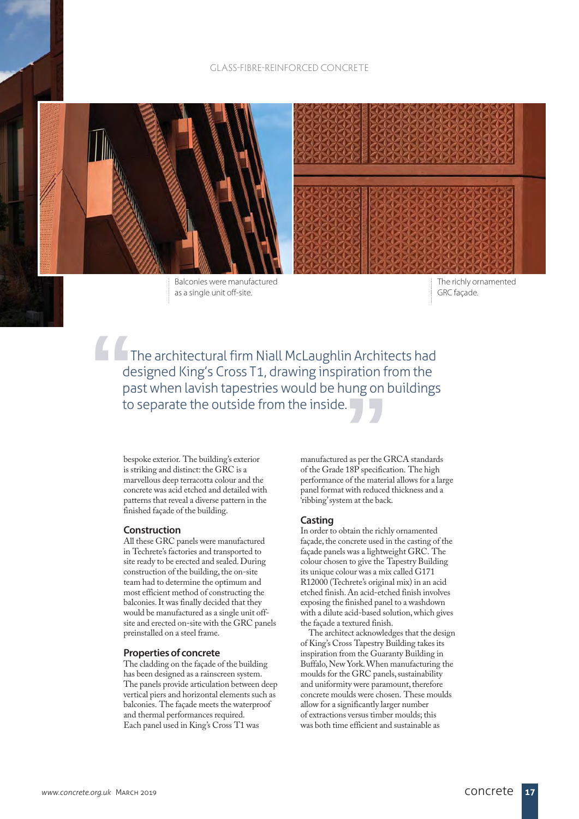# GLASS-FIBRE-REINFORCED CONCRETE



as a single unit off-site.



The richly ornamented GRC façade.

The architectural firm Niall McLaughlin Architects had designed King's Cross T1, drawing inspiration from the past when lavish tapestries would be hung on buildings **1**<br> **1**<br>
de<br>
pa<br>
to designed King's Cross T1, drawing inspiration fi<br>past when lavish tapestries would be hung on l<br>to separate the outside from the inside.

bespoke exterior. The building's exterior is striking and distinct: the GRC is a marvellous deep terracotta colour and the concrete was acid etched and detailed with patterns that reveal a diverse pattern in the finished façade of the building.

# **Construction**

All these GRC panels were manufactured in Techrete's factories and transported to site ready to be erected and sealed. During construction of the building, the on-site team had to determine the optimum and most efficient method of constructing the balconies. It was finally decided that they would be manufactured as a single unit offsite and erected on-site with the GRC panels preinstalled on a steel frame.

## **Properties of concrete**

The cladding on the façade of the building has been designed as a rainscreen system. The panels provide articulation between deep vertical piers and horizontal elements such as balconies. The façade meets the waterproof and thermal performances required. Each panel used in King's Cross T1 was

manufactured as per the GRCA standards of the Grade  $18\mathrm{P}$  specification. The high performance of the material allows for a large panel format with reduced thickness and a 'ribbing' system at the back.

### **Casting**

In order to obtain the richly ornamented façade, the concrete used in the casting of the façade panels was a lightweight GRC. The colour chosen to give the Tapestry Building its unique colour was a mix called G171 R12000 (Techrete's original mix) in an acid etched finish. An acid-etched finish involves exposing the finished panel to a washdown with a dilute acid-based solution, which gives the façade a textured finish.

The architect acknowledges that the design of King's Cross Tapestry Building takes its inspiration from the Guaranty Building in Buffalo, New York. When manufacturing the moulds for the GRC panels, sustainability and uniformity were paramount, therefore concrete moulds were chosen. These moulds allow for a significantly larger number of extractions versus timber moulds; this was both time efficient and sustainable as